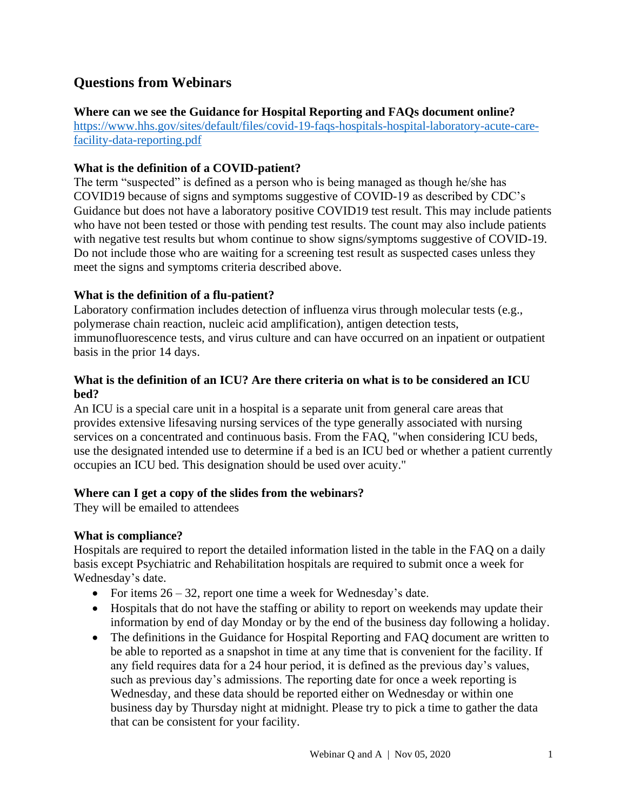# **Questions from Webinars**

**Where can we see the Guidance for Hospital Reporting and FAQs document online?** [https://www.hhs.gov/sites/default/files/covid-19-faqs-hospitals-hospital-laboratory-acute-care](https://www.hhs.gov/sites/default/files/covid-19-faqs-hospitals-hospital-laboratory-acute-care-facility-data-reporting.pdf)[facility-data-reporting.pdf](https://www.hhs.gov/sites/default/files/covid-19-faqs-hospitals-hospital-laboratory-acute-care-facility-data-reporting.pdf)

## **What is the definition of a COVID-patient?**

The term "suspected" is defined as a person who is being managed as though he/she has COVID19 because of signs and symptoms suggestive of COVID-19 as described by CDC's Guidance but does not have a laboratory positive COVID19 test result. This may include patients who have not been tested or those with pending test results. The count may also include patients with negative test results but whom continue to show signs/symptoms suggestive of COVID-19. Do not include those who are waiting for a screening test result as suspected cases unless they meet the signs and symptoms criteria described above.

## **What is the definition of a flu-patient?**

Laboratory confirmation includes detection of influenza virus through molecular tests (e.g., polymerase chain reaction, nucleic acid amplification), antigen detection tests, immunofluorescence tests, and virus culture and can have occurred on an inpatient or outpatient basis in the prior 14 days.

## **What is the definition of an ICU? Are there criteria on what is to be considered an ICU bed?**

An ICU is a special care unit in a hospital is a separate unit from general care areas that provides extensive lifesaving nursing services of the type generally associated with nursing services on a concentrated and continuous basis. From the FAQ, "when considering ICU beds, use the designated intended use to determine if a bed is an ICU bed or whether a patient currently occupies an ICU bed. This designation should be used over acuity."

## **Where can I get a copy of the slides from the webinars?**

They will be emailed to attendees

## **What is compliance?**

Hospitals are required to report the detailed information listed in the table in the FAQ on a daily basis except Psychiatric and Rehabilitation hospitals are required to submit once a week for Wednesday's date.

- For items  $26 32$ , report one time a week for Wednesday's date.
- Hospitals that do not have the staffing or ability to report on weekends may update their information by end of day Monday or by the end of the business day following a holiday.
- The definitions in the Guidance for Hospital Reporting and FAQ document are written to be able to reported as a snapshot in time at any time that is convenient for the facility. If any field requires data for a 24 hour period, it is defined as the previous day's values, such as previous day's admissions. The reporting date for once a week reporting is Wednesday, and these data should be reported either on Wednesday or within one business day by Thursday night at midnight. Please try to pick a time to gather the data that can be consistent for your facility.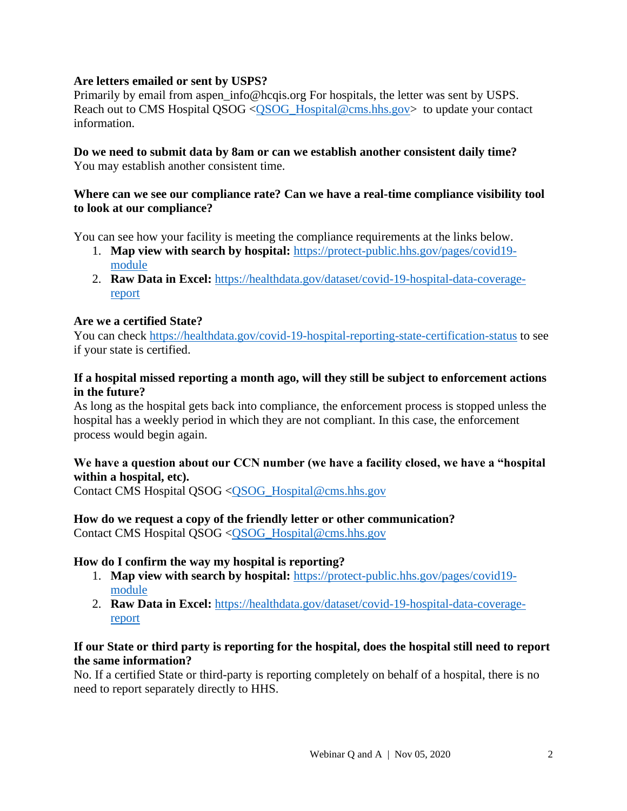## **Are letters emailed or sent by USPS?**

Primarily by email from aspen\_info@hcqis.org For hospitals, the letter was sent by USPS. Reach out to CMS Hospital QSOG [<QSOG\\_Hospital@cms.hhs.gov>](mailto:QSOG_Hospital@cms.hhs.gov) to update your contact information.

## **Do we need to submit data by 8am or can we establish another consistent daily time?** You may establish another consistent time.

### **Where can we see our compliance rate? Can we have a real-time compliance visibility tool to look at our compliance?**

You can see how your facility is meeting the compliance requirements at the links below.

- 1. **Map view with search by hospital:** [https://protect-public.hhs.gov/pages/covid19](https://protect-public.hhs.gov/pages/covid19-module) [module](https://protect-public.hhs.gov/pages/covid19-module)
- 2. **Raw Data in Excel:** [https://healthdata.gov/dataset/covid-19-hospital-data-coverage](https://healthdata.gov/dataset/covid-19-hospital-data-coverage-report)[report](https://healthdata.gov/dataset/covid-19-hospital-data-coverage-report)

### **Are we a certified State?**

You can check<https://healthdata.gov/covid-19-hospital-reporting-state-certification-status> to see if your state is certified.

### **If a hospital missed reporting a month ago, will they still be subject to enforcement actions in the future?**

As long as the hospital gets back into compliance, the enforcement process is stopped unless the hospital has a weekly period in which they are not compliant. In this case, the enforcement process would begin again.

## **We have a question about our CCN number (we have a facility closed, we have a "hospital within a hospital, etc).**

Contact CMS Hospital QSOG [<QSOG\\_Hospital@cms.hhs.gov](mailto:QSOG_Hospital@cms.hhs.gov)

## **How do we request a copy of the friendly letter or other communication?**

Contact CMS Hospital QSOG [<QSOG\\_Hospital@cms.hhs.gov](mailto:QSOG_Hospital@cms.hhs.gov)

## **How do I confirm the way my hospital is reporting?**

- 1. **Map view with search by hospital:** [https://protect-public.hhs.gov/pages/covid19](https://protect-public.hhs.gov/pages/covid19-module) [module](https://protect-public.hhs.gov/pages/covid19-module)
- 2. **Raw Data in Excel:** [https://healthdata.gov/dataset/covid-19-hospital-data-coverage](https://healthdata.gov/dataset/covid-19-hospital-data-coverage-report)[report](https://healthdata.gov/dataset/covid-19-hospital-data-coverage-report)

### **If our State or third party is reporting for the hospital, does the hospital still need to report the same information?**

No. If a certified State or third-party is reporting completely on behalf of a hospital, there is no need to report separately directly to HHS.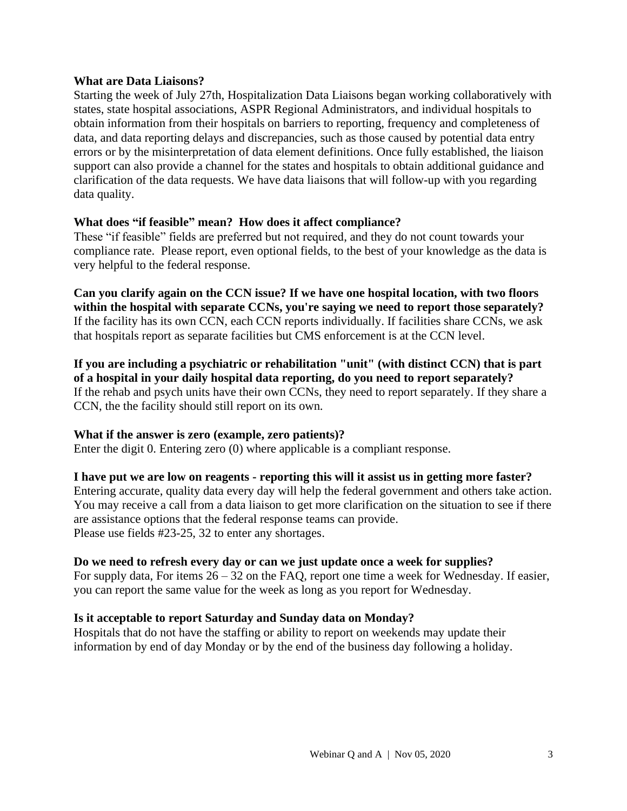### **What are Data Liaisons?**

Starting the week of July 27th, Hospitalization Data Liaisons began working collaboratively with states, state hospital associations, ASPR Regional Administrators, and individual hospitals to obtain information from their hospitals on barriers to reporting, frequency and completeness of data, and data reporting delays and discrepancies, such as those caused by potential data entry errors or by the misinterpretation of data element definitions. Once fully established, the liaison support can also provide a channel for the states and hospitals to obtain additional guidance and clarification of the data requests. We have data liaisons that will follow-up with you regarding data quality.

### **What does "if feasible" mean? How does it affect compliance?**

These "if feasible" fields are preferred but not required, and they do not count towards your compliance rate. Please report, even optional fields, to the best of your knowledge as the data is very helpful to the federal response.

**Can you clarify again on the CCN issue? If we have one hospital location, with two floors within the hospital with separate CCNs, you're saying we need to report those separately?** If the facility has its own CCN, each CCN reports individually. If facilities share CCNs, we ask that hospitals report as separate facilities but CMS enforcement is at the CCN level.

**If you are including a psychiatric or rehabilitation "unit" (with distinct CCN) that is part of a hospital in your daily hospital data reporting, do you need to report separately?** If the rehab and psych units have their own CCNs, they need to report separately. If they share a CCN, the the facility should still report on its own.

### **What if the answer is zero (example, zero patients)?**

Enter the digit 0. Entering zero (0) where applicable is a compliant response.

### **I have put we are low on reagents - reporting this will it assist us in getting more faster?**

Entering accurate, quality data every day will help the federal government and others take action. You may receive a call from a data liaison to get more clarification on the situation to see if there are assistance options that the federal response teams can provide. Please use fields #23-25, 32 to enter any shortages.

### **Do we need to refresh every day or can we just update once a week for supplies?**

For supply data, For items  $26 - 32$  on the FAQ, report one time a week for Wednesday. If easier, you can report the same value for the week as long as you report for Wednesday.

## **Is it acceptable to report Saturday and Sunday data on Monday?**

Hospitals that do not have the staffing or ability to report on weekends may update their information by end of day Monday or by the end of the business day following a holiday.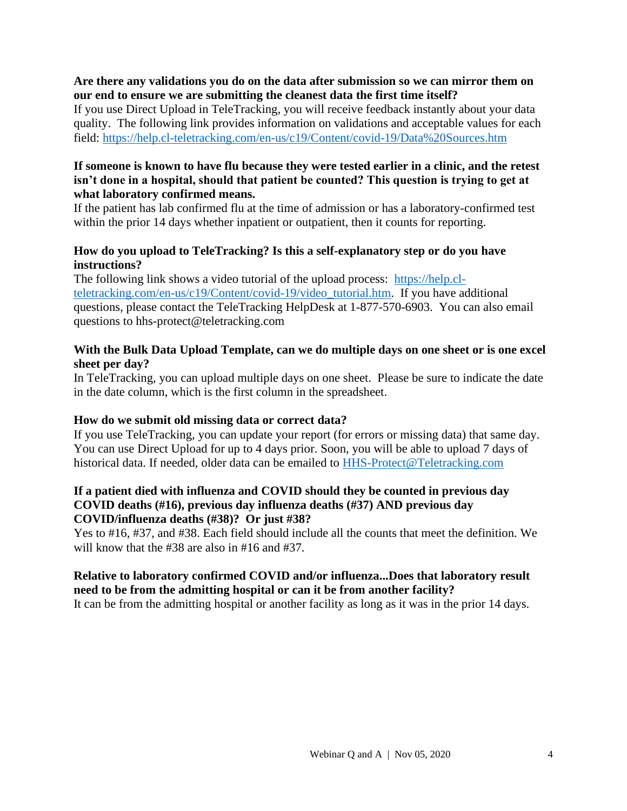### **Are there any validations you do on the data after submission so we can mirror them on our end to ensure we are submitting the cleanest data the first time itself?**

If you use Direct Upload in TeleTracking, you will receive feedback instantly about your data quality. The following link provides information on validations and acceptable values for each field:<https://help.cl-teletracking.com/en-us/c19/Content/covid-19/Data%20Sources.htm>

## **If someone is known to have flu because they were tested earlier in a clinic, and the retest isn't done in a hospital, should that patient be counted? This question is trying to get at what laboratory confirmed means.**

If the patient has lab confirmed flu at the time of admission or has a laboratory-confirmed test within the prior 14 days whether inpatient or outpatient, then it counts for reporting.

## **How do you upload to TeleTracking? Is this a self-explanatory step or do you have instructions?**

The following link shows a video tutorial of the upload process: [https://help.cl](https://help.cl-teletracking.com/en-us/c19/Content/covid-19/video_tutorial.htm)[teletracking.com/en-us/c19/Content/covid-19/video\\_tutorial.htm.](https://help.cl-teletracking.com/en-us/c19/Content/covid-19/video_tutorial.htm) If you have additional questions, please contact the TeleTracking HelpDesk at 1-877-570-6903. You can also email questions to hhs-protect@teletracking.com

## **With the Bulk Data Upload Template, can we do multiple days on one sheet or is one excel sheet per day?**

In TeleTracking, you can upload multiple days on one sheet. Please be sure to indicate the date in the date column, which is the first column in the spreadsheet.

## **How do we submit old missing data or correct data?**

If you use TeleTracking, you can update your report (for errors or missing data) that same day. You can use Direct Upload for up to 4 days prior. Soon, you will be able to upload 7 days of historical data. If needed, older data can be emailed to [HHS-Protect@Teletracking.com](mailto:HHS-Protect@Teletracking.com)

### **If a patient died with influenza and COVID should they be counted in previous day COVID deaths (#16), previous day influenza deaths (#37) AND previous day COVID/influenza deaths (#38)? Or just #38?**

Yes to #16, #37, and #38. Each field should include all the counts that meet the definition. We will know that the #38 are also in #16 and #37.

### **Relative to laboratory confirmed COVID and/or influenza...Does that laboratory result need to be from the admitting hospital or can it be from another facility?**

It can be from the admitting hospital or another facility as long as it was in the prior 14 days.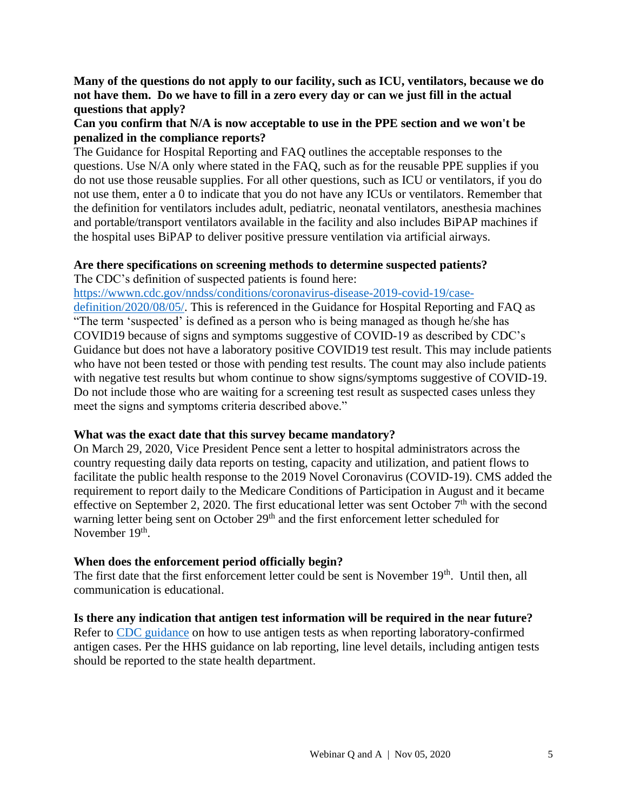**Many of the questions do not apply to our facility, such as ICU, ventilators, because we do not have them. Do we have to fill in a zero every day or can we just fill in the actual questions that apply?**

## **Can you confirm that N/A is now acceptable to use in the PPE section and we won't be penalized in the compliance reports?**

The Guidance for Hospital Reporting and FAQ outlines the acceptable responses to the questions. Use N/A only where stated in the FAQ, such as for the reusable PPE supplies if you do not use those reusable supplies. For all other questions, such as ICU or ventilators, if you do not use them, enter a 0 to indicate that you do not have any ICUs or ventilators. Remember that the definition for ventilators includes adult, pediatric, neonatal ventilators, anesthesia machines and portable/transport ventilators available in the facility and also includes BiPAP machines if the hospital uses BiPAP to deliver positive pressure ventilation via artificial airways.

# **Are there specifications on screening methods to determine suspected patients?**

The CDC's definition of suspected patients is found here:

[https://wwwn.cdc.gov/nndss/conditions/coronavirus-disease-2019-covid-19/case-](https://wwwn.cdc.gov/nndss/conditions/coronavirus-disease-2019-covid-19/case-definition/2020/08/05/)

[definition/2020/08/05/.](https://wwwn.cdc.gov/nndss/conditions/coronavirus-disease-2019-covid-19/case-definition/2020/08/05/) This is referenced in the Guidance for Hospital Reporting and FAQ as "The term 'suspected' is defined as a person who is being managed as though he/she has COVID19 because of signs and symptoms suggestive of COVID-19 as described by CDC's Guidance but does not have a laboratory positive COVID19 test result. This may include patients who have not been tested or those with pending test results. The count may also include patients with negative test results but whom continue to show signs/symptoms suggestive of COVID-19. Do not include those who are waiting for a screening test result as suspected cases unless they meet the signs and symptoms criteria described above."

## **What was the exact date that this survey became mandatory?**

On March 29, 2020, Vice President Pence sent a letter to hospital administrators across the country requesting daily data reports on testing, capacity and utilization, and patient flows to facilitate the public health response to the 2019 Novel Coronavirus (COVID-19). CMS added the requirement to report daily to the Medicare Conditions of Participation in August and it became effective on September 2, 2020. The first educational letter was sent October  $7<sup>th</sup>$  with the second warning letter being sent on October 29<sup>th</sup> and the first enforcement letter scheduled for November 19<sup>th</sup>.

## **When does the enforcement period officially begin?**

The first date that the first enforcement letter could be sent is November 19<sup>th</sup>. Until then, all communication is educational.

## **Is there any indication that antigen test information will be required in the near future?**

Refer to [CDC guidance](https://www.cdc.gov/coronavirus/2019-ncov/lab/resources/antigen-tests-guidelines.html) on how to use antigen tests as when reporting laboratory-confirmed antigen cases. Per the HHS guidance on lab reporting, line level details, including antigen tests should be reported to the state health department.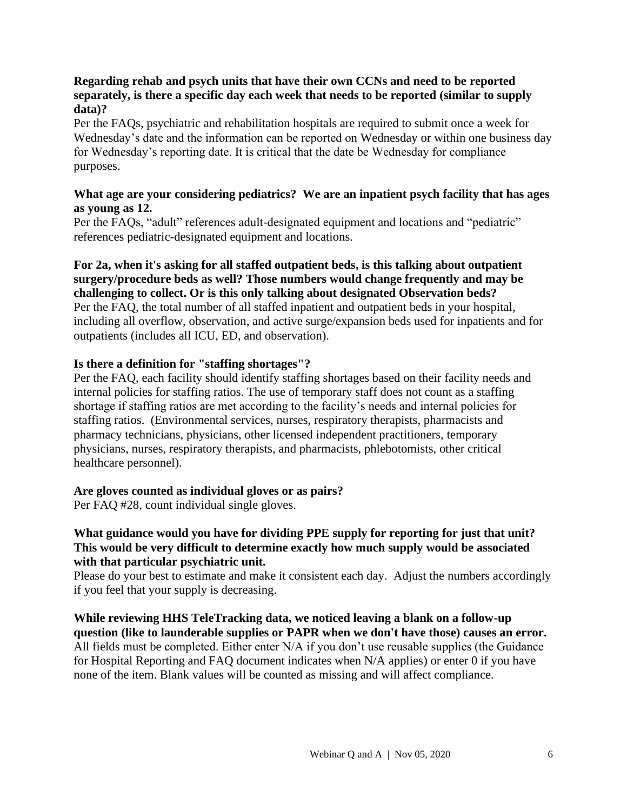### **Regarding rehab and psych units that have their own CCNs and need to be reported separately, is there a specific day each week that needs to be reported (similar to supply data)?**

Per the FAQs, psychiatric and rehabilitation hospitals are required to submit once a week for Wednesday's date and the information can be reported on Wednesday or within one business day for Wednesday's reporting date. It is critical that the date be Wednesday for compliance purposes.

### **What age are your considering pediatrics? We are an inpatient psych facility that has ages as young as 12.**

Per the FAQs, "adult" references adult-designated equipment and locations and "pediatric" references pediatric-designated equipment and locations.

## **For 2a, when it's asking for all staffed outpatient beds, is this talking about outpatient surgery/procedure beds as well? Those numbers would change frequently and may be challenging to collect. Or is this only talking about designated Observation beds?** Per the FAQ, the total number of all staffed inpatient and outpatient beds in your hospital, including all overflow, observation, and active surge/expansion beds used for inpatients and for outpatients (includes all ICU, ED, and observation).

### **Is there a definition for "staffing shortages"?**

Per the FAQ, each facility should identify staffing shortages based on their facility needs and internal policies for staffing ratios. The use of temporary staff does not count as a staffing shortage if staffing ratios are met according to the facility's needs and internal policies for staffing ratios. (Environmental services, nurses, respiratory therapists, pharmacists and pharmacy technicians, physicians, other licensed independent practitioners, temporary physicians, nurses, respiratory therapists, and pharmacists, phlebotomists, other critical healthcare personnel).

### **Are gloves counted as individual gloves or as pairs?**

Per FAQ #28, count individual single gloves.

## **What guidance would you have for dividing PPE supply for reporting for just that unit? This would be very difficult to determine exactly how much supply would be associated with that particular psychiatric unit.**

Please do your best to estimate and make it consistent each day. Adjust the numbers accordingly if you feel that your supply is decreasing.

**While reviewing HHS TeleTracking data, we noticed leaving a blank on a follow-up question (like to launderable supplies or PAPR when we don't have those) causes an error.**  All fields must be completed. Either enter N/A if you don't use reusable supplies (the Guidance for Hospital Reporting and FAQ document indicates when N/A applies) or enter 0 if you have none of the item. Blank values will be counted as missing and will affect compliance.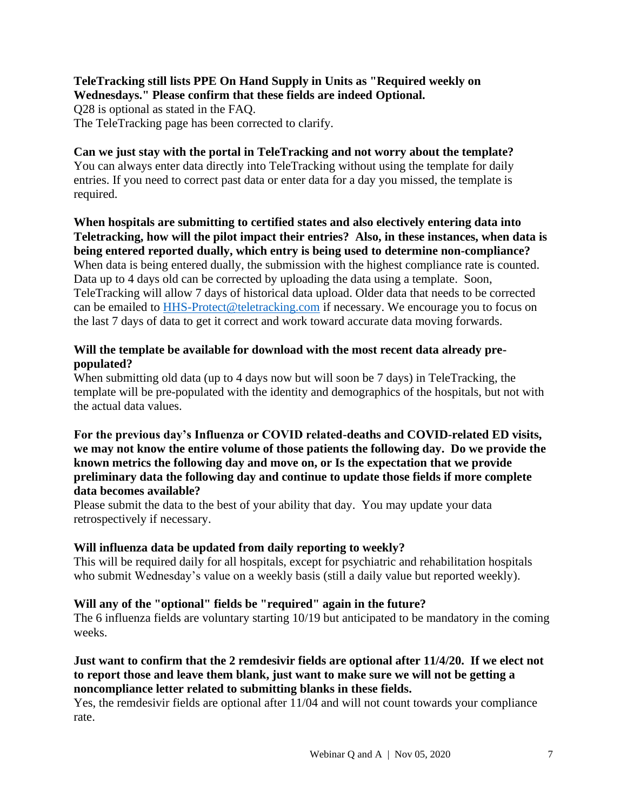### **TeleTracking still lists PPE On Hand Supply in Units as "Required weekly on Wednesdays." Please confirm that these fields are indeed Optional.** Q28 is optional as stated in the FAQ.

The TeleTracking page has been corrected to clarify.

### **Can we just stay with the portal in TeleTracking and not worry about the template?** You can always enter data directly into TeleTracking without using the template for daily entries. If you need to correct past data or enter data for a day you missed, the template is required.

**When hospitals are submitting to certified states and also electively entering data into Teletracking, how will the pilot impact their entries? Also, in these instances, when data is being entered reported dually, which entry is being used to determine non-compliance?** When data is being entered dually, the submission with the highest compliance rate is counted. Data up to 4 days old can be corrected by uploading the data using a template. Soon, TeleTracking will allow 7 days of historical data upload. Older data that needs to be corrected can be emailed to [HHS-Protect@teletracking.com](mailto:HHS-Protect@teletracking.com) if necessary. We encourage you to focus on the last 7 days of data to get it correct and work toward accurate data moving forwards.

## **Will the template be available for download with the most recent data already prepopulated?**

When submitting old data (up to 4 days now but will soon be 7 days) in TeleTracking, the template will be pre-populated with the identity and demographics of the hospitals, but not with the actual data values.

### **For the previous day's Influenza or COVID related-deaths and COVID-related ED visits, we may not know the entire volume of those patients the following day. Do we provide the known metrics the following day and move on, or Is the expectation that we provide preliminary data the following day and continue to update those fields if more complete data becomes available?**

Please submit the data to the best of your ability that day. You may update your data retrospectively if necessary.

## **Will influenza data be updated from daily reporting to weekly?**

This will be required daily for all hospitals, except for psychiatric and rehabilitation hospitals who submit Wednesday's value on a weekly basis (still a daily value but reported weekly).

## **Will any of the "optional" fields be "required" again in the future?**

The 6 influenza fields are voluntary starting 10/19 but anticipated to be mandatory in the coming weeks.

## **Just want to confirm that the 2 remdesivir fields are optional after 11/4/20. If we elect not to report those and leave them blank, just want to make sure we will not be getting a noncompliance letter related to submitting blanks in these fields.**

Yes, the remdesivir fields are optional after 11/04 and will not count towards your compliance rate.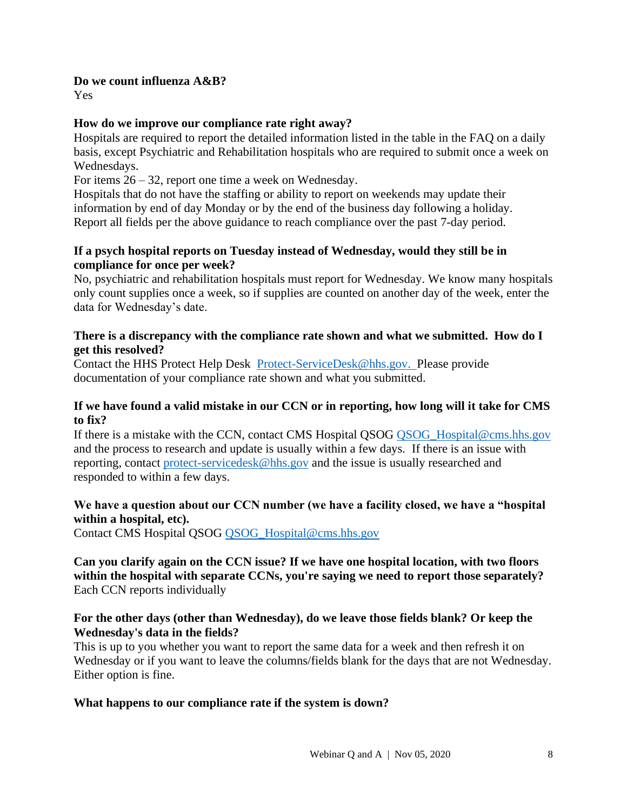### **Do we count influenza A&B?**

Yes

## **How do we improve our compliance rate right away?**

Hospitals are required to report the detailed information listed in the table in the FAQ on a daily basis, except Psychiatric and Rehabilitation hospitals who are required to submit once a week on Wednesdays.

For items 26 – 32, report one time a week on Wednesday.

Hospitals that do not have the staffing or ability to report on weekends may update their information by end of day Monday or by the end of the business day following a holiday. Report all fields per the above guidance to reach compliance over the past 7-day period.

## **If a psych hospital reports on Tuesday instead of Wednesday, would they still be in compliance for once per week?**

No, psychiatric and rehabilitation hospitals must report for Wednesday. We know many hospitals only count supplies once a week, so if supplies are counted on another day of the week, enter the data for Wednesday's date.

## **There is a discrepancy with the compliance rate shown and what we submitted. How do I get this resolved?**

Contact the HHS Protect Help Desk [Protect-ServiceDesk@hhs.gov.](mailto:Protect-ServiceDesk@hhs.gov) Please provide documentation of your compliance rate shown and what you submitted.

## **If we have found a valid mistake in our CCN or in reporting, how long will it take for CMS to fix?**

If there is a mistake with the CCN, contact CMS Hospital QSOG QSOG Hospital@cms.hhs.gov and the process to research and update is usually within a few days. If there is an issue with reporting, contact [protect-servicedesk@hhs.gov](mailto:protect-servicedesk@hhs.gov) and the issue is usually researched and responded to within a few days.

## **We have a question about our CCN number (we have a facility closed, we have a "hospital within a hospital, etc).**

Contact CMS Hospital QSOG [QSOG\\_Hospital@cms.hhs.gov](mailto:QSOG_Hospital@cms.hhs.gov)

## **Can you clarify again on the CCN issue? If we have one hospital location, with two floors within the hospital with separate CCNs, you're saying we need to report those separately?** Each CCN reports individually

## **For the other days (other than Wednesday), do we leave those fields blank? Or keep the Wednesday's data in the fields?**

This is up to you whether you want to report the same data for a week and then refresh it on Wednesday or if you want to leave the columns/fields blank for the days that are not Wednesday. Either option is fine.

## **What happens to our compliance rate if the system is down?**